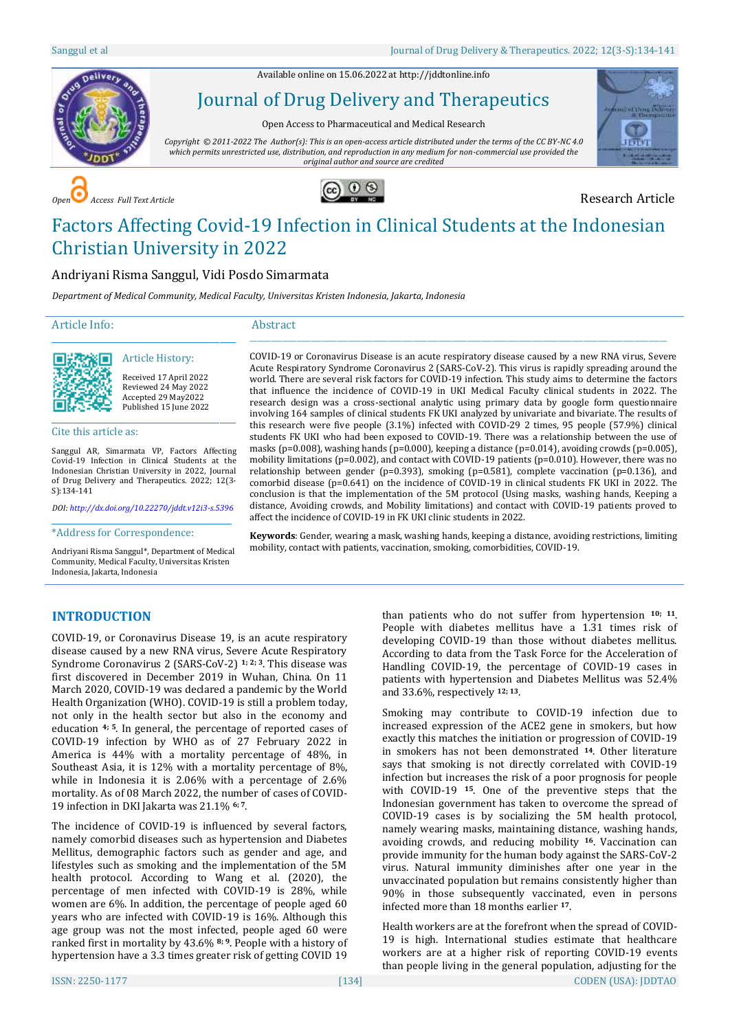Available online on 15.06.2022 a[t http://jddtonline.info](http://jddtonline.info/)



Journal of Drug Delivery and Therapeutics

Open Access to Pharmaceutical and Medical Research

*Copyright © 2011-2022 The Author(s): This is an open-access article distributed under the terms of the CC BY-NC 4.0 which permits unrestricted use, distribution, and reproduction in any medium for non-commercial use provided the original author and source are credited*



*Access Full Text Article* **Copen 2 Copen 2 Copen 2 Copen 2 Copen 2 Copen 2 Copen 2 Research Article** 



# Factors Affecting Covid-19 Infection in Clinical Students at the Indonesian Christian University in 2022

# Andriyani Risma Sanggul, Vidi Posdo Simarmata

*Department of Medical Community, Medical Faculty, Universitas Kristen Indonesia, Jakarta, Indonesia*

### Article Info:

# Abstract



Received 17 April 2022 Reviewed 24 May 2022 Accepted 29 May2022 Published 15 June 2022

Cite this article as:

Sanggul AR, Simarmata VP, Factors Affecting Covid-19 Infection in Clinical Students at the Indonesian Christian University in 2022, Journal of Drug Delivery and Therapeutics. 2022; 12(3- S):134-141

\_\_\_\_\_\_\_\_\_\_\_\_\_\_\_\_\_\_\_\_\_\_\_\_\_\_\_\_\_\_\_\_\_\_\_\_\_\_\_\_\_\_\_\_\_ Article History:

*DOI[: http://dx.doi.org/10.22270/jddt.v12i3-s.5396](http://dx.doi.org/10.22270/jddt.v12i3-s.5396)*  \_\_\_\_\_\_\_\_\_\_\_\_\_\_\_\_\_\_\_\_\_\_\_\_\_\_\_\_\_\_\_\_\_\_\_\_\_\_\_\_\_\_\_\_

\*Address for Correspondence:

Andriyani Risma Sanggul\*, Department of Medical Community, Medical Faculty, Universitas Kristen Indonesia, Jakarta, Indonesia

COVID-19 or Coronavirus Disease is an acute respiratory disease caused by a new RNA virus, Severe Acute Respiratory Syndrome Coronavirus 2 (SARS-CoV-2). This virus is rapidly spreading around the world. There are several risk factors for COVID-19 infection. This study aims to determine the factors that influence the incidence of COVID-19 in UKI Medical Faculty clinical students in 2022. The research design was a cross-sectional analytic using primary data by google form questionnaire involving 164 samples of clinical students FK UKI analyzed by univariate and bivariate. The results of this research were five people (3.1%) infected with COVID-29 2 times, 95 people (57.9%) clinical students FK UKI who had been exposed to COVID-19. There was a relationship between the use of masks (p=0.008), washing hands (p=0.000), keeping a distance (p=0.014), avoiding crowds (p=0.005), mobility limitations (p=0.002), and contact with COVID-19 patients (p=0.010). However, there was no relationship between gender (p=0.393), smoking (p=0.581), complete vaccination (p=0.136), and comorbid disease (p=0.641) on the incidence of COVID-19 in clinical students FK UKI in 2022. The conclusion is that the implementation of the 5M protocol (Using masks, washing hands, Keeping a distance, Avoiding crowds, and Mobility limitations) and contact with COVID-19 patients proved to affect the incidence of COVID-19 in FK UKI clinic students in 2022.

\_\_\_\_\_\_\_\_\_\_\_\_\_\_\_\_\_\_\_\_\_\_\_\_\_\_\_\_\_\_\_\_\_\_\_\_\_\_\_\_\_\_\_\_\_\_\_\_\_\_\_\_\_\_\_\_\_\_\_\_\_\_\_\_\_\_\_\_\_\_\_\_\_\_\_\_\_\_\_\_\_\_\_\_\_\_\_\_\_\_\_\_\_\_\_\_\_\_\_\_\_\_\_\_\_\_\_\_\_\_\_\_\_\_\_

**Keywords**: Gender, wearing a mask, washing hands, keeping a distance, avoiding restrictions, limiting mobility, contact with patients, vaccination, smoking, comorbidities, COVID-19.

# **INTRODUCTION**

COVID-19, or Coronavirus Disease 19, is an acute respiratory disease caused by a new RNA virus, Severe Acute Respiratory Syndrome Coronavirus 2 (SARS-CoV-2) **1; 2; 3**. This disease was first discovered in December 2019 in Wuhan, China. On 11 March 2020, COVID-19 was declared a pandemic by the World Health Organization (WHO). COVID-19 is still a problem today, not only in the health sector but also in the economy and education **4; 5**. In general, the percentage of reported cases of COVID-19 infection by WHO as of 27 February 2022 in America is 44% with a mortality percentage of 48%, in Southeast Asia, it is 12% with a mortality percentage of 8%, while in Indonesia it is 2.06% with a percentage of 2.6% mortality. As of 08 March 2022, the number of cases of COVID-19 infection in DKI Jakarta was 21.1% **6; 7**.

The incidence of COVID-19 is influenced by several factors, namely comorbid diseases such as hypertension and Diabetes Mellitus, demographic factors such as gender and age, and lifestyles such as smoking and the implementation of the 5M health protocol. According to Wang et al. (2020), the percentage of men infected with COVID-19 is 28%, while women are 6%. In addition, the percentage of people aged 60 years who are infected with COVID-19 is 16%. Although this age group was not the most infected, people aged 60 were ranked first in mortality by 43.6% **8; 9**. People with a history of hypertension have a 3.3 times greater risk of getting COVID 19

than patients who do not suffer from hypertension **10; 11**. People with diabetes mellitus have a 1.31 times risk of developing COVID-19 than those without diabetes mellitus. According to data from the Task Force for the Acceleration of Handling COVID-19, the percentage of COVID-19 cases in patients with hypertension and Diabetes Mellitus was 52.4% and 33.6%, respectively **12; 13**.

Smoking may contribute to COVID-19 infection due to increased expression of the ACE2 gene in smokers, but how exactly this matches the initiation or progression of COVID-19 in smokers has not been demonstrated **14**. Other literature says that smoking is not directly correlated with COVID-19 infection but increases the risk of a poor prognosis for people with COVID-19 **15**. One of the preventive steps that the Indonesian government has taken to overcome the spread of COVID-19 cases is by socializing the 5M health protocol, namely wearing masks, maintaining distance, washing hands, avoiding crowds, and reducing mobility **16**. Vaccination can provide immunity for the human body against the SARS-CoV-2 virus. Natural immunity diminishes after one year in the unvaccinated population but remains consistently higher than 90% in those subsequently vaccinated, even in persons infected more than 18 months earlier **17**.

Health workers are at the forefront when the spread of COVID-19 is high. International studies estimate that healthcare workers are at a higher risk of reporting COVID-19 events than people living in the general population, adjusting for the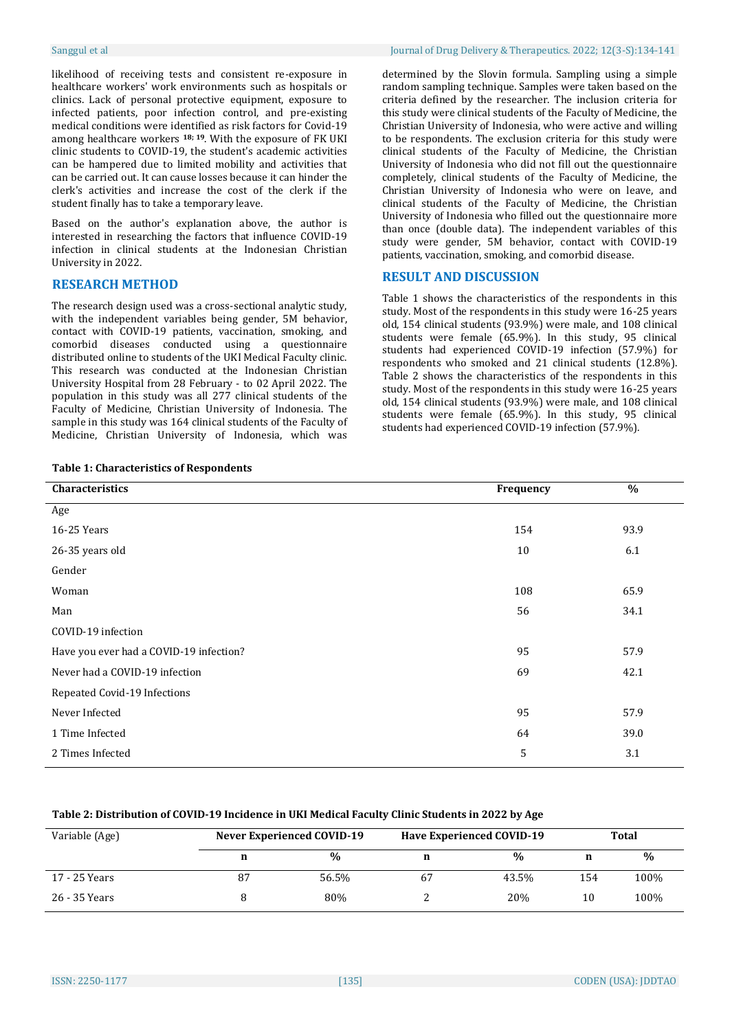likelihood of receiving tests and consistent re-exposure in healthcare workers' work environments such as hospitals or clinics. Lack of personal protective equipment, exposure to infected patients, poor infection control, and pre-existing medical conditions were identified as risk factors for Covid-19 among healthcare workers **18; 19**. With the exposure of FK UKI clinic students to COVID-19, the student's academic activities can be hampered due to limited mobility and activities that can be carried out. It can cause losses because it can hinder the clerk's activities and increase the cost of the clerk if the student finally has to take a temporary leave.

Based on the author's explanation above, the author is interested in researching the factors that influence COVID-19 infection in clinical students at the Indonesian Christian University in 2022.

# **RESEARCH METHOD**

The research design used was a cross-sectional analytic study, with the independent variables being gender, 5M behavior, contact with COVID-19 patients, vaccination, smoking, and comorbid diseases conducted using a questionnaire distributed online to students of the UKI Medical Faculty clinic. This research was conducted at the Indonesian Christian University Hospital from 28 February - to 02 April 2022. The population in this study was all 277 clinical students of the Faculty of Medicine, Christian University of Indonesia. The sample in this study was 164 clinical students of the Faculty of Medicine, Christian University of Indonesia, which was

|  | <b>Table 1: Characteristics of Respondents</b> |  |  |
|--|------------------------------------------------|--|--|
|--|------------------------------------------------|--|--|

determined by the Slovin formula. Sampling using a simple random sampling technique. Samples were taken based on the criteria defined by the researcher. The inclusion criteria for this study were clinical students of the Faculty of Medicine, the Christian University of Indonesia, who were active and willing to be respondents. The exclusion criteria for this study were clinical students of the Faculty of Medicine, the Christian University of Indonesia who did not fill out the questionnaire completely, clinical students of the Faculty of Medicine, the Christian University of Indonesia who were on leave, and clinical students of the Faculty of Medicine, the Christian University of Indonesia who filled out the questionnaire more than once (double data). The independent variables of this study were gender, 5M behavior, contact with COVID-19 patients, vaccination, smoking, and comorbid disease.

# **RESULT AND DISCUSSION**

Table 1 shows the characteristics of the respondents in this study. Most of the respondents in this study were 16-25 years old, 154 clinical students (93.9%) were male, and 108 clinical students were female (65.9%). In this study, 95 clinical students had experienced COVID-19 infection (57.9%) for respondents who smoked and 21 clinical students (12.8%). Table 2 shows the characteristics of the respondents in this study. Most of the respondents in this study were 16-25 years old, 154 clinical students (93.9%) were male, and 108 clinical students were female (65.9%). In this study, 95 clinical students had experienced COVID-19 infection (57.9%).

| Characteristics                         | Frequency | $\%$ |
|-----------------------------------------|-----------|------|
| Age                                     |           |      |
| 16-25 Years                             | 154       | 93.9 |
| 26-35 years old                         | 10        | 6.1  |
| Gender                                  |           |      |
| Woman                                   | 108       | 65.9 |
| Man                                     | 56        | 34.1 |
| COVID-19 infection                      |           |      |
| Have you ever had a COVID-19 infection? | 95        | 57.9 |
| Never had a COVID-19 infection          | 69        | 42.1 |
| Repeated Covid-19 Infections            |           |      |
| Never Infected                          | 95        | 57.9 |
| 1 Time Infected                         | 64        | 39.0 |
| 2 Times Infected                        | 5         | 3.1  |
|                                         |           |      |

### **Table 2: Distribution of COVID-19 Incidence in UKI Medical Faculty Clinic Students in 2022 by Age**

| Variable (Age) | <b>Never Experienced COVID-19</b> |               |    | <b>Have Experienced COVID-19</b> | Total |      |  |
|----------------|-----------------------------------|---------------|----|----------------------------------|-------|------|--|
|                |                                   | $\frac{0}{0}$ | n  | $\frac{0}{0}$                    | n     | $\%$ |  |
| 17 - 25 Years  | 87                                | 56.5%         | 67 | 43.5%                            | 154   | 100% |  |
| 26 - 35 Years  |                                   | 80%           |    | 20%                              | 10    | 100% |  |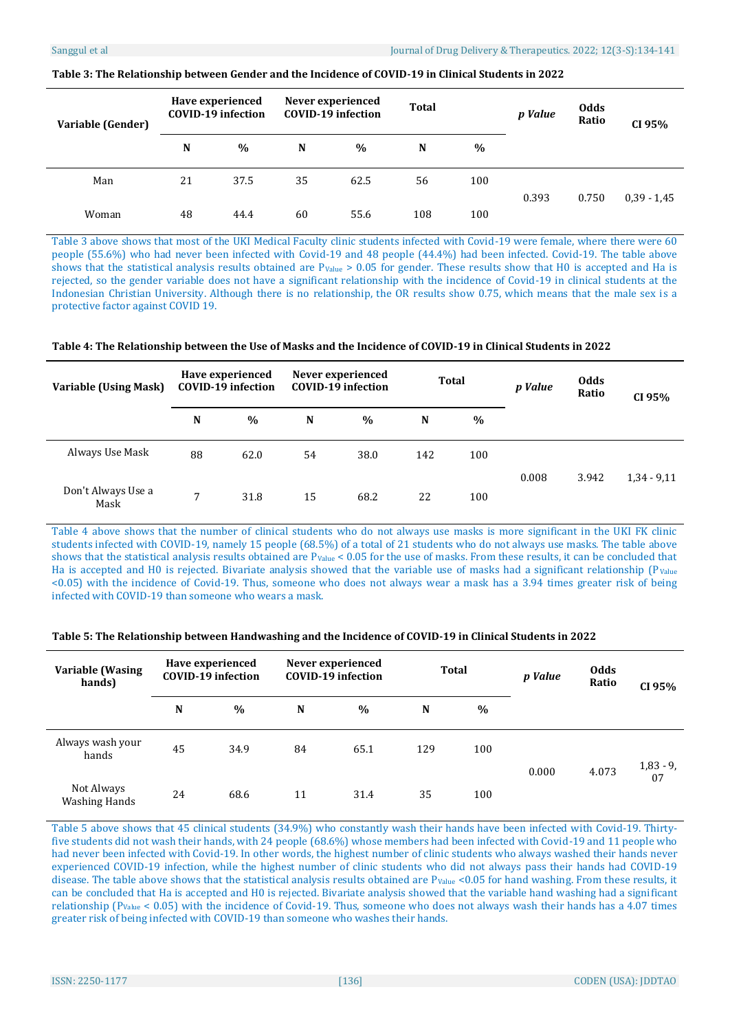| Variable (Gender) |    | Have experienced<br>COVID-19 infection |    | Never experienced<br><b>COVID-19 infection</b> |     | Total |       | <b>Odds</b><br>Ratio | CI 95%        |
|-------------------|----|----------------------------------------|----|------------------------------------------------|-----|-------|-------|----------------------|---------------|
|                   | N  | $\%$                                   | N  | $\frac{0}{0}$                                  | N   | $\%$  |       |                      |               |
| Man               | 21 | 37.5                                   | 35 | 62.5                                           | 56  | 100   | 0.393 | 0.750                | $0,39 - 1,45$ |
| Woman             | 48 | 44.4                                   | 60 | 55.6                                           | 108 | 100   |       |                      |               |

#### **Table 3: The Relationship between Gender and the Incidence of COVID-19 in Clinical Students in 2022**

Table 3 above shows that most of the UKI Medical Faculty clinic students infected with Covid-19 were female, where there were 60 people (55.6%) who had never been infected with Covid-19 and 48 people (44.4%) had been infected. Covid-19. The table above shows that the statistical analysis results obtained are  $P_{Value} > 0.05$  for gender. These results show that H0 is accepted and Ha is rejected, so the gender variable does not have a significant relationship with the incidence of Covid-19 in clinical students at the Indonesian Christian University. Although there is no relationship, the OR results show 0.75, which means that the male sex is a protective factor against COVID 19.

### **Table 4: The Relationship between the Use of Masks and the Incidence of COVID-19 in Clinical Students in 2022**

| Variable (Using Mask)      | Have experienced<br><b>COVID-19 infection</b> |               |    | Never experienced<br><b>COVID-19 infection</b> |     | <b>Total</b> |       | <b>Odds</b><br>Ratio | CI 95%        |
|----------------------------|-----------------------------------------------|---------------|----|------------------------------------------------|-----|--------------|-------|----------------------|---------------|
|                            | N                                             | $\frac{0}{0}$ | N  | $\%$                                           | N   | $\%$         |       |                      |               |
| Always Use Mask            | 88                                            | 62.0          | 54 | 38.0                                           | 142 | 100          |       |                      |               |
| Don't Always Use a<br>Mask | 7                                             | 31.8          | 15 | 68.2                                           | 22  | 100          | 0.008 | 3.942                | $1,34 - 9,11$ |

Table 4 above shows that the number of clinical students who do not always use masks is more significant in the UKI FK clinic students infected with COVID-19, namely 15 people (68.5%) of a total of 21 students who do not always use masks. The table above shows that the statistical analysis results obtained are P<sub>Value</sub> < 0.05 for the use of masks. From these results, it can be concluded that Ha is accepted and H0 is rejected. Bivariate analysis showed that the variable use of masks had a significant relationship ( $P_{Value}$ <0.05) with the incidence of Covid-19. Thus, someone who does not always wear a mask has a 3.94 times greater risk of being infected with COVID-19 than someone who wears a mask.

### **Table 5: The Relationship between Handwashing and the Incidence of COVID-19 in Clinical Students in 2022**

| <b>Variable (Wasing</b><br>hands)  |    | Have experienced<br><b>COVID-19 infection</b> | Never experienced<br><b>COVID-19 infection</b> |      | <b>Total</b> |      | p Value | <b>Odds</b><br>Ratio | CI 95%      |
|------------------------------------|----|-----------------------------------------------|------------------------------------------------|------|--------------|------|---------|----------------------|-------------|
|                                    | N  | $\%$                                          | N                                              | $\%$ | N            | $\%$ |         |                      |             |
| Always wash your<br>hands          | 45 | 34.9                                          | 84                                             | 65.1 | 129          | 100  | 0.000   | 4.073                | $1,83 - 9,$ |
| Not Always<br><b>Washing Hands</b> | 24 | 68.6                                          | 11                                             | 31.4 | 35           | 100  |         |                      | 07          |

Table 5 above shows that 45 clinical students (34.9%) who constantly wash their hands have been infected with Covid-19. Thirtyfive students did not wash their hands, with 24 people (68.6%) whose members had been infected with Covid-19 and 11 people who had never been infected with Covid-19. In other words, the highest number of clinic students who always washed their hands never experienced COVID-19 infection, while the highest number of clinic students who did not always pass their hands had COVID-19 disease. The table above shows that the statistical analysis results obtained are P<sub>Value</sub> <0.05 for hand washing. From these results, it can be concluded that Ha is accepted and H0 is rejected. Bivariate analysis showed that the variable hand washing had a significant relationship (PValue < 0.05) with the incidence of Covid-19. Thus, someone who does not always wash their hands has a 4.07 times greater risk of being infected with COVID-19 than someone who washes their hands.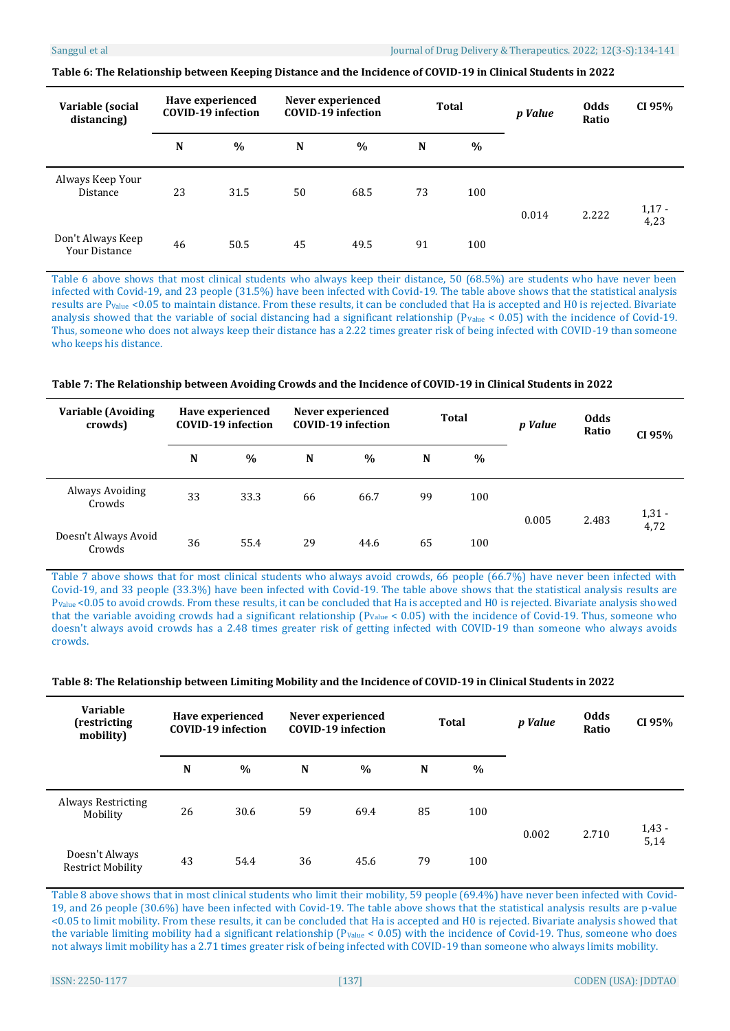| Variable (social<br>distancing)     |    | Have experienced<br><b>COVID-19 infection</b> | Never experienced<br><b>COVID-19 infection</b> |      | <b>Total</b> |      | p Value | <b>Odds</b><br>Ratio | CI 95%           |
|-------------------------------------|----|-----------------------------------------------|------------------------------------------------|------|--------------|------|---------|----------------------|------------------|
|                                     | N  | $\frac{0}{0}$                                 | $\mathbf N$                                    | $\%$ | N            | $\%$ |         |                      |                  |
| Always Keep Your<br><b>Distance</b> | 23 | 31.5                                          | 50                                             | 68.5 | 73           | 100  | 0.014   | 2.222                | $1,17 -$<br>4,23 |
| Don't Always Keep<br>Your Distance  | 46 | 50.5                                          | 45                                             | 49.5 | 91           | 100  |         |                      |                  |

**Table 6: The Relationship between Keeping Distance and the Incidence of COVID-19 in Clinical Students in 2022**

Table 6 above shows that most clinical students who always keep their distance, 50 (68.5%) are students who have never been infected with Covid-19, and 23 people (31.5%) have been infected with Covid-19. The table above shows that the statistical analysis results are PValue <0.05 to maintain distance. From these results, it can be concluded that Ha is accepted and H0 is rejected. Bivariate analysis showed that the variable of social distancing had a significant relationship ( $P_{Value} < 0.05$ ) with the incidence of Covid-19. Thus, someone who does not always keep their distance has a 2.22 times greater risk of being infected with COVID-19 than someone who keeps his distance.

**Table 7: The Relationship between Avoiding Crowds and the Incidence of COVID-19 in Clinical Students in 2022**

| Variable (Avoiding<br>crowds)  |    | Have experienced<br><b>COVID-19 infection</b> | Never experienced<br><b>COVID-19 infection</b> |      | Total |      | p Value | <b>Odds</b><br>Ratio | CI 95%   |
|--------------------------------|----|-----------------------------------------------|------------------------------------------------|------|-------|------|---------|----------------------|----------|
|                                | N  | $\%$                                          | N                                              | $\%$ | N     | $\%$ |         |                      |          |
| Always Avoiding<br>Crowds      | 33 | 33.3                                          | 66                                             | 66.7 | 99    | 100  | 0.005   | 2.483                | $1,31 -$ |
| Doesn't Always Avoid<br>Crowds | 36 | 55.4                                          | 29                                             | 44.6 | 65    | 100  |         |                      | 4,72     |

Table 7 above shows that for most clinical students who always avoid crowds, 66 people (66.7%) have never been infected with Covid-19, and 33 people (33.3%) have been infected with Covid-19. The table above shows that the statistical analysis results are PValue <0.05 to avoid crowds. From these results, it can be concluded that Ha is accepted and H0 is rejected. Bivariate analysis showed that the variable avoiding crowds had a significant relationship  $(P_{Value} < 0.05)$  with the incidence of Covid-19. Thus, someone who doesn't always avoid crowds has a 2.48 times greater risk of getting infected with COVID-19 than someone who always avoids crowds.

|  |  | Table 8: The Relationship between Limiting Mobility and the Incidence of COVID-19 in Clinical Students in 2022 |
|--|--|----------------------------------------------------------------------------------------------------------------|
|--|--|----------------------------------------------------------------------------------------------------------------|

| <b>Variable</b><br>(restricting<br>mobility) |    | Have experienced<br><b>COVID-19</b> infection | Never experienced<br><b>COVID-19 infection</b> |      | <b>Total</b> |               | p Value | <b>Odds</b><br>Ratio | CI 95%           |
|----------------------------------------------|----|-----------------------------------------------|------------------------------------------------|------|--------------|---------------|---------|----------------------|------------------|
|                                              | N  | $\frac{0}{0}$                                 | N                                              | $\%$ | N            | $\frac{0}{0}$ |         |                      |                  |
| Always Restricting<br>Mobility               | 26 | 30.6                                          | 59                                             | 69.4 | 85           | 100           | 0.002   | 2.710                | $1,43 -$<br>5,14 |
| Doesn't Always<br><b>Restrict Mobility</b>   | 43 | 54.4                                          | 36                                             | 45.6 | 79           | 100           |         |                      |                  |

Table 8 above shows that in most clinical students who limit their mobility, 59 people (69.4%) have never been infected with Covid-19, and 26 people (30.6%) have been infected with Covid-19. The table above shows that the statistical analysis results are p-value <0.05 to limit mobility. From these results, it can be concluded that Ha is accepted and H0 is rejected. Bivariate analysis showed that the variable limiting mobility had a significant relationship ( $P_{Value} < 0.05$ ) with the incidence of Covid-19. Thus, someone who does not always limit mobility has a 2.71 times greater risk of being infected with COVID-19 than someone who always limits mobility.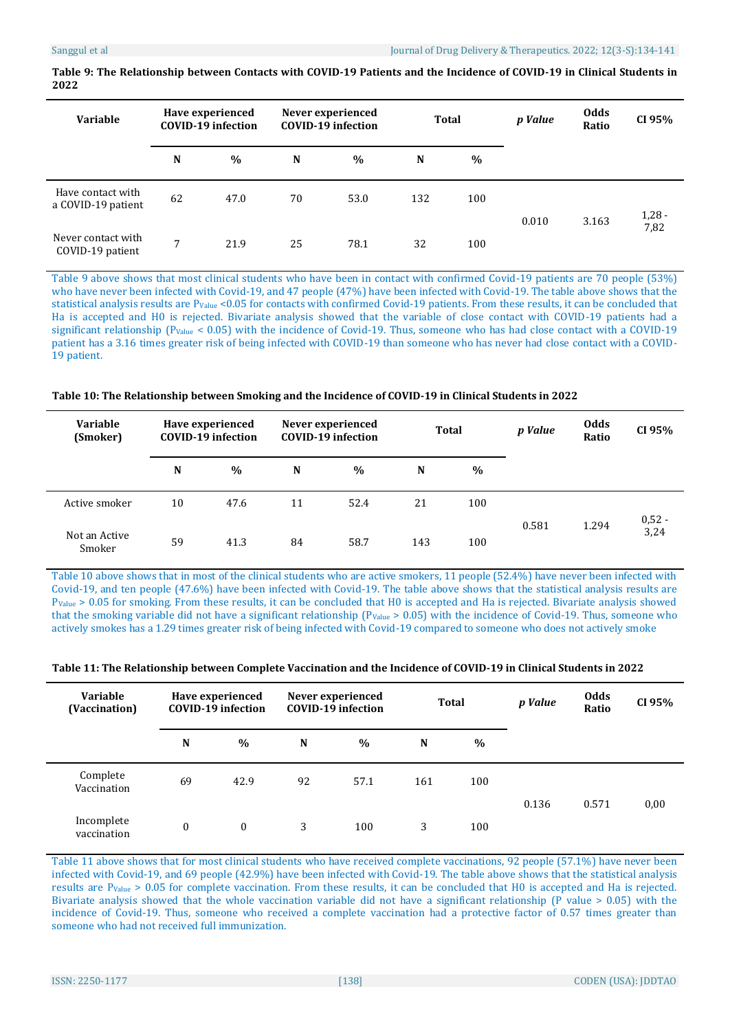| Variable                                |             | Have experienced<br><b>COVID-19 infection</b> | Never experienced<br><b>COVID-19</b> infection |      |     | <b>Total</b>  |       | <b>Odds</b><br>Ratio | CI 95%   |
|-----------------------------------------|-------------|-----------------------------------------------|------------------------------------------------|------|-----|---------------|-------|----------------------|----------|
|                                         | N           | $\%$                                          | N                                              | $\%$ | N   | $\frac{0}{0}$ |       |                      |          |
| Have contact with<br>a COVID-19 patient | 62          | 47.0                                          | 70                                             | 53.0 | 132 | 100           | 0.010 | 3.163                | $1,28 -$ |
| Never contact with<br>COVID-19 patient  | $7^{\circ}$ | 21.9                                          | 25                                             | 78.1 | 32  | 100           |       |                      | 7,82     |

**Table 9: The Relationship between Contacts with COVID-19 Patients and the Incidence of COVID-19 in Clinical Students in 2022**

Table 9 above shows that most clinical students who have been in contact with confirmed Covid-19 patients are 70 people (53%) who have never been infected with Covid-19, and 47 people (47%) have been infected with Covid-19. The table above shows that the statistical analysis results are P<sub>Value</sub> <0.05 for contacts with confirmed Covid-19 patients. From these results, it can be concluded that Ha is accepted and H0 is rejected. Bivariate analysis showed that the variable of close contact with COVID-19 patients had a significant relationship (P<sub>Value</sub> < 0.05) with the incidence of Covid-19. Thus, someone who has had close contact with a COVID-19 patient has a 3.16 times greater risk of being infected with COVID-19 than someone who has never had close contact with a COVID-19 patient.

**Table 10: The Relationship between Smoking and the Incidence of COVID-19 in Clinical Students in 2022**

| <b>Variable</b><br>(Smoker) |    | Have experienced<br><b>COVID-19 infection</b> |    | Never experienced<br><b>COVID-19 infection</b> | <b>Total</b> |      | p Value | <b>Odds</b><br>Ratio | CI 95%           |
|-----------------------------|----|-----------------------------------------------|----|------------------------------------------------|--------------|------|---------|----------------------|------------------|
|                             | N  | $\%$                                          | N  | $\frac{0}{0}$                                  | N            | $\%$ |         |                      |                  |
| Active smoker               | 10 | 47.6                                          | 11 | 52.4                                           | 21           | 100  |         |                      |                  |
| Not an Active<br>Smoker     | 59 | 41.3                                          | 84 | 58.7                                           | 143          | 100  | 0.581   | 1.294                | $0,52 -$<br>3,24 |

Table 10 above shows that in most of the clinical students who are active smokers, 11 people (52.4%) have never been infected with Covid-19, and ten people (47.6%) have been infected with Covid-19. The table above shows that the statistical analysis results are PValue > 0.05 for smoking. From these results, it can be concluded that H0 is accepted and Ha is rejected. Bivariate analysis showed that the smoking variable did not have a significant relationship ( $P_{Value} > 0.05$ ) with the incidence of Covid-19. Thus, someone who actively smokes has a 1.29 times greater risk of being infected with Covid-19 compared to someone who does not actively smoke

|  |  | Table 11: The Relationship between Complete Vaccination and the Incidence of COVID-19 in Clinical Students in 2022 |
|--|--|--------------------------------------------------------------------------------------------------------------------|
|  |  |                                                                                                                    |

| <b>Variable</b><br>(Vaccination) |              | Have experienced<br><b>COVID-19 infection</b> | Never experienced<br><b>COVID-19 infection</b> |               | Total |      | p Value | <b>Odds</b><br>Ratio | CI 95% |
|----------------------------------|--------------|-----------------------------------------------|------------------------------------------------|---------------|-------|------|---------|----------------------|--------|
|                                  | N            | $\%$                                          | N                                              | $\frac{0}{0}$ | N     | $\%$ |         |                      |        |
| Complete<br>Vaccination          | 69           | 42.9                                          | 92                                             | 57.1          | 161   | 100  | 0.136   | 0.571                | 0,00   |
| Incomplete<br>vaccination        | $\mathbf{0}$ | $\mathbf{0}$                                  | 3                                              | 100           | 3     | 100  |         |                      |        |

Table 11 above shows that for most clinical students who have received complete vaccinations, 92 people (57.1%) have never been infected with Covid-19, and 69 people (42.9%) have been infected with Covid-19. The table above shows that the statistical analysis results are PValue > 0.05 for complete vaccination. From these results, it can be concluded that H0 is accepted and Ha is rejected. Bivariate analysis showed that the whole vaccination variable did not have a significant relationship (P value > 0.05) with the incidence of Covid-19. Thus, someone who received a complete vaccination had a protective factor of 0.57 times greater than someone who had not received full immunization.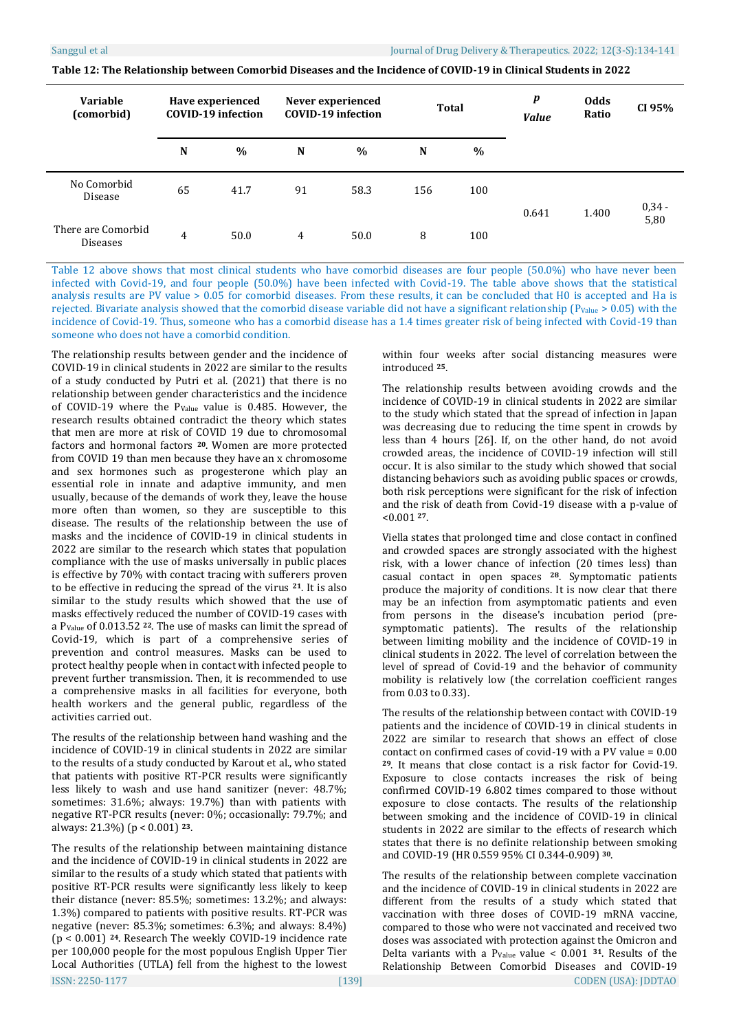| Variable<br>(comorbid)                |    | Have experienced<br><b>COVID-19</b> infection | Never experienced<br><b>COVID-19 infection</b> |      | <b>Total</b> |               | $\boldsymbol{p}$<br><b>Value</b> | <b>Odds</b><br>Ratio | CI 95%           |
|---------------------------------------|----|-----------------------------------------------|------------------------------------------------|------|--------------|---------------|----------------------------------|----------------------|------------------|
|                                       | N  | $\%$                                          | N                                              | $\%$ | N            | $\frac{0}{0}$ |                                  |                      |                  |
| No Comorbid<br>Disease                | 65 | 41.7                                          | 91                                             | 58.3 | 156          | 100           | 0.641                            | 1.400                | $0,34 -$<br>5,80 |
| There are Comorbid<br><b>Diseases</b> | 4  | 50.0                                          | 4                                              | 50.0 | 8            | 100           |                                  |                      |                  |

**Table 12: The Relationship between Comorbid Diseases and the Incidence of COVID-19 in Clinical Students in 2022**

Table 12 above shows that most clinical students who have comorbid diseases are four people (50.0%) who have never been infected with Covid-19, and four people (50.0%) have been infected with Covid-19. The table above shows that the statistical analysis results are PV value > 0.05 for comorbid diseases. From these results, it can be concluded that H0 is accepted and Ha is rejected. Bivariate analysis showed that the comorbid disease variable did not have a significant relationship ( $P_{Value} > 0.05$ ) with the incidence of Covid-19. Thus, someone who has a comorbid disease has a 1.4 times greater risk of being infected with Covid-19 than someone who does not have a comorbid condition.

The relationship results between gender and the incidence of COVID-19 in clinical students in 2022 are similar to the results of a study conducted by Putri et al. (2021) that there is no relationship between gender characteristics and the incidence of COVID-19 where the PValue value is 0.485. However, the research results obtained contradict the theory which states that men are more at risk of COVID 19 due to chromosomal factors and hormonal factors **<sup>20</sup>**. Women are more protected from COVID 19 than men because they have an x chromosome and sex hormones such as progesterone which play an essential role in innate and adaptive immunity, and men usually, because of the demands of work they, leave the house more often than women, so they are susceptible to this disease. The results of the relationship between the use of masks and the incidence of COVID-19 in clinical students in 2022 are similar to the research which states that population compliance with the use of masks universally in public places is effective by 70% with contact tracing with sufferers proven to be effective in reducing the spread of the virus **21**. It is also similar to the study results which showed that the use of masks effectively reduced the number of COVID-19 cases with a PValue of 0.013.52 **<sup>22</sup>**. The use of masks can limit the spread of Covid-19, which is part of a comprehensive series of prevention and control measures. Masks can be used to protect healthy people when in contact with infected people to prevent further transmission. Then, it is recommended to use a comprehensive masks in all facilities for everyone, both health workers and the general public, regardless of the activities carried out.

The results of the relationship between hand washing and the incidence of COVID-19 in clinical students in 2022 are similar to the results of a study conducted by Karout et al., who stated that patients with positive RT-PCR results were significantly less likely to wash and use hand sanitizer (never: 48.7%; sometimes: 31.6%; always: 19.7%) than with patients with negative RT-PCR results (never: 0%; occasionally: 79.7%; and always: 21.3%) (p < 0.001) **23**.

The results of the relationship between maintaining distance and the incidence of COVID-19 in clinical students in 2022 are similar to the results of a study which stated that patients with positive RT-PCR results were significantly less likely to keep their distance (never: 85.5%; sometimes: 13.2%; and always: 1.3%) compared to patients with positive results. RT-PCR was negative (never: 85.3%; sometimes: 6.3%; and always: 8.4%) (p < 0.001) **<sup>24</sup>**. Research The weekly COVID-19 incidence rate per 100,000 people for the most populous English Upper Tier Local Authorities (UTLA) fell from the highest to the lowest within four weeks after social distancing measures were introduced **<sup>25</sup>**.

The relationship results between avoiding crowds and the incidence of COVID-19 in clinical students in 2022 are similar to the study which stated that the spread of infection in Japan was decreasing due to reducing the time spent in crowds by less than 4 hours [26]. If, on the other hand, do not avoid crowded areas, the incidence of COVID-19 infection will still occur. It is also similar to the study which showed that social distancing behaviors such as avoiding public spaces or crowds, both risk perceptions were significant for the risk of infection and the risk of death from Covid-19 disease with a p-value of <0.001 **27**.

Viella states that prolonged time and close contact in confined and crowded spaces are strongly associated with the highest risk, with a lower chance of infection (20 times less) than casual contact in open spaces **<sup>28</sup>**. Symptomatic patients produce the majority of conditions. It is now clear that there may be an infection from asymptomatic patients and even from persons in the disease's incubation period (presymptomatic patients). The results of the relationship between limiting mobility and the incidence of COVID-19 in clinical students in 2022. The level of correlation between the level of spread of Covid-19 and the behavior of community mobility is relatively low (the correlation coefficient ranges from 0.03 to 0.33).

The results of the relationship between contact with COVID-19 patients and the incidence of COVID-19 in clinical students in 2022 are similar to research that shows an effect of close contact on confirmed cases of covid-19 with a PV value = 0.00 **<sup>29</sup>**. It means that close contact is a risk factor for Covid-19. Exposure to close contacts increases the risk of being confirmed COVID-19 6.802 times compared to those without exposure to close contacts. The results of the relationship between smoking and the incidence of COVID-19 in clinical students in 2022 are similar to the effects of research which states that there is no definite relationship between smoking and COVID-19 (HR 0.559 95% CI 0.344-0.909) **<sup>30</sup>**.

The results of the relationship between complete vaccination and the incidence of COVID-19 in clinical students in 2022 are different from the results of a study which stated that vaccination with three doses of COVID-19 mRNA vaccine, compared to those who were not vaccinated and received two doses was associated with protection against the Omicron and Delta variants with a PValue value < 0.001 **31**. Results of the Relationship Between Comorbid Diseases and COVID-19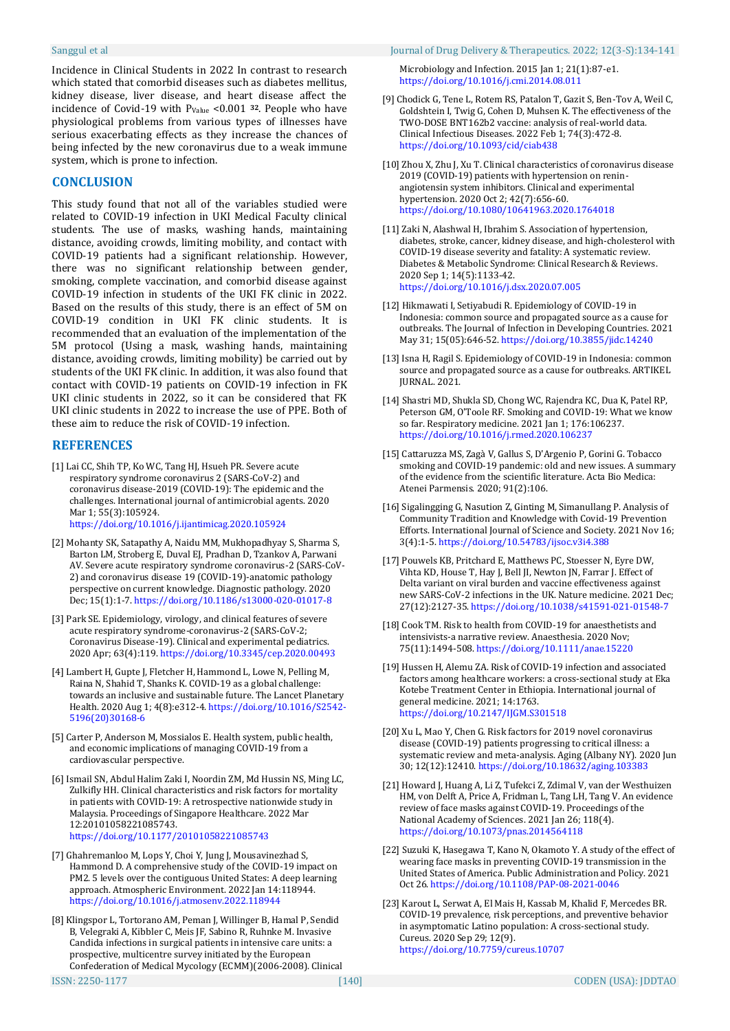Incidence in Clinical Students in 2022 In contrast to research which stated that comorbid diseases such as diabetes mellitus, kidney disease, liver disease, and heart disease affect the incidence of Covid-19 with PValue <0.001 **<sup>32</sup>**. People who have physiological problems from various types of illnesses have serious exacerbating effects as they increase the chances of being infected by the new coronavirus due to a weak immune system, which is prone to infection.

# **CONCLUSION**

This study found that not all of the variables studied were related to COVID-19 infection in UKI Medical Faculty clinical students. The use of masks, washing hands, maintaining distance, avoiding crowds, limiting mobility, and contact with COVID-19 patients had a significant relationship. However, there was no significant relationship between gender, smoking, complete vaccination, and comorbid disease against COVID-19 infection in students of the UKI FK clinic in 2022. Based on the results of this study, there is an effect of 5M on COVID-19 condition in UKI FK clinic students. It is recommended that an evaluation of the implementation of the 5M protocol (Using a mask, washing hands, maintaining distance, avoiding crowds, limiting mobility) be carried out by students of the UKI FK clinic. In addition, it was also found that contact with COVID-19 patients on COVID-19 infection in FK UKI clinic students in 2022, so it can be considered that FK UKI clinic students in 2022 to increase the use of PPE. Both of these aim to reduce the risk of COVID-19 infection.

# **REFERENCES**

[1] Lai CC, Shih TP, Ko WC, Tang HJ, Hsueh PR. Severe acute respiratory syndrome coronavirus 2 (SARS-CoV-2) and coronavirus disease-2019 (COVID-19): The epidemic and the challenges. International journal of antimicrobial agents. 2020 Mar 1; 55(3):105924.

<https://doi.org/10.1016/j.ijantimicag.2020.105924>

- [2] Mohanty SK, Satapathy A, Naidu MM, Mukhopadhyay S, Sharma S, Barton LM, Stroberg E, Duval EJ, Pradhan D, Tzankov A, Parwani AV. Severe acute respiratory syndrome coronavirus-2 (SARS-CoV-2) and coronavirus disease 19 (COVID-19)-anatomic pathology perspective on current knowledge. Diagnostic pathology. 2020 Dec; 15(1):1-7. <https://doi.org/10.1186/s13000-020-01017-8>
- [3] Park SE. Epidemiology, virology, and clinical features of severe acute respiratory syndrome-coronavirus-2 (SARS-CoV-2; Coronavirus Disease-19). Clinical and experimental pediatrics. 2020 Apr; 63(4):119. <https://doi.org/10.3345/cep.2020.00493>
- [4] Lambert H, Gupte J, Fletcher H, Hammond L, Lowe N, Pelling M, Raina N, Shahid T, Shanks K. COVID-19 as a global challenge: towards an inclusive and sustainable future. The Lancet Planetary Health. 2020 Aug 1; 4(8):e312-4. [https://doi.org/10.1016/S2542-](https://doi.org/10.1016/S2542-5196(20)30168-6) [5196\(20\)30168-6](https://doi.org/10.1016/S2542-5196(20)30168-6)
- [5] Carter P, Anderson M, Mossialos E. Health system, public health, and economic implications of managing COVID-19 from a cardiovascular perspective.
- [6] Ismail SN, Abdul Halim Zaki I, Noordin ZM, Md Hussin NS, Ming LC, Zulkifly HH. Clinical characteristics and risk factors for mortality in patients with COVID-19: A retrospective nationwide study in Malaysia. Proceedings of Singapore Healthcare. 2022 Mar 12:20101058221085743. <https://doi.org/10.1177/20101058221085743>
- [7] Ghahremanloo M, Lops Y, Choi Y, Jung J, Mousavinezhad S, Hammond D. A comprehensive study of the COVID-19 impact on PM2. 5 levels over the contiguous United States: A deep learning approach. Atmospheric Environment. 2022 Jan 14:118944. <https://doi.org/10.1016/j.atmosenv.2022.118944>
- [8] Klingspor L, Tortorano AM, Peman J, Willinger B, Hamal P, Sendid B, Velegraki A, Kibbler C, Meis JF, Sabino R, Ruhnke M. Invasive Candida infections in surgical patients in intensive care units: a prospective, multicentre survey initiated by the European Confederation of Medical Mycology (ECMM)(2006-2008). Clinical

Microbiology and Infection. 2015 Jan 1; 21(1):87-e1. <https://doi.org/10.1016/j.cmi.2014.08.011>

- [9] Chodick G, Tene L, Rotem RS, Patalon T, Gazit S, Ben-Tov A, Weil C, Goldshtein I, Twig G, Cohen D, Muhsen K. The effectiveness of the TWO-DOSE BNT162b2 vaccine: analysis of real-world data. Clinical Infectious Diseases. 2022 Feb 1; 74(3):472-8. <https://doi.org/10.1093/cid/ciab438>
- [10] Zhou X, Zhu J, Xu T. Clinical characteristics of coronavirus disease 2019 (COVID-19) patients with hypertension on reninangiotensin system inhibitors. Clinical and experimental hypertension. 2020 Oct 2; 42(7):656-60. <https://doi.org/10.1080/10641963.2020.1764018>
- [11] Zaki N, Alashwal H, Ibrahim S. Association of hypertension, diabetes, stroke, cancer, kidney disease, and high-cholesterol with COVID-19 disease severity and fatality: A systematic review. Diabetes & Metabolic Syndrome: Clinical Research & Reviews. 2020 Sep 1; 14(5):1133-42. <https://doi.org/10.1016/j.dsx.2020.07.005>
- [12] Hikmawati I, Setiyabudi R. Epidemiology of COVID-19 in Indonesia: common source and propagated source as a cause for outbreaks. The Journal of Infection in Developing Countries. 2021 May 31; 15(05):646-52. <https://doi.org/10.3855/jidc.14240>
- [13] Isna H, Ragil S. Epidemiology of COVID-19 in Indonesia: common source and propagated source as a cause for outbreaks. ARTIKEL JURNAL. 2021.
- [14] Shastri MD, Shukla SD, Chong WC, Rajendra KC, Dua K, Patel RP, Peterson GM, O'Toole RF. Smoking and COVID-19: What we know so far. Respiratory medicine. 2021 Jan 1; 176:106237. <https://doi.org/10.1016/j.rmed.2020.106237>
- [15] Cattaruzza MS, Zagà V, Gallus S, D'Argenio P, Gorini G. Tobacco smoking and COVID-19 pandemic: old and new issues. A summary of the evidence from the scientific literature. Acta Bio Medica: Atenei Parmensis. 2020; 91(2):106.
- [16] Sigalingging G, Nasution Z, Ginting M, Simanullang P. Analysis of Community Tradition and Knowledge with Covid-19 Prevention Efforts. International Journal of Science and Society. 2021 Nov 16; 3(4):1-5. <https://doi.org/10.54783/ijsoc.v3i4.388>
- [17] Pouwels KB, Pritchard E, Matthews PC, Stoesser N, Eyre DW, Vihta KD, House T, Hay J, Bell JI, Newton JN, Farrar J. Effect of Delta variant on viral burden and vaccine effectiveness against new SARS-CoV-2 infections in the UK. Nature medicine. 2021 Dec; 27(12):2127-35. <https://doi.org/10.1038/s41591-021-01548-7>
- [18] Cook TM. Risk to health from COVID-19 for anaesthetists and intensivists-a narrative review. Anaesthesia. 2020 Nov; 75(11):1494-508. <https://doi.org/10.1111/anae.15220>
- [19] Hussen H, Alemu ZA. Risk of COVID-19 infection and associated factors among healthcare workers: a cross-sectional study at Eka Kotebe Treatment Center in Ethiopia. International journal of general medicine. 2021; 14:1763. <https://doi.org/10.2147/IJGM.S301518>
- [20] Xu L, Mao Y, Chen G. Risk factors for 2019 novel coronavirus disease (COVID-19) patients progressing to critical illness: a systematic review and meta-analysis. Aging (Albany NY). 2020 Jun 30; 12(12):12410. <https://doi.org/10.18632/aging.103383>
- [21] Howard J, Huang A, Li Z, Tufekci Z, Zdimal V, van der Westhuizen HM, von Delft A, Price A, Fridman L, Tang LH, Tang V. An evidence review of face masks against COVID-19. Proceedings of the National Academy of Sciences. 2021 Jan 26; 118(4). <https://doi.org/10.1073/pnas.2014564118>
- [22] Suzuki K, Hasegawa T, Kano N, Okamoto Y. A study of the effect of wearing face masks in preventing COVID-19 transmission in the United States of America. Public Administration and Policy. 2021 Oct 26. <https://doi.org/10.1108/PAP-08-2021-0046>
- [23] Karout L, Serwat A, El Mais H, Kassab M, Khalid F, Mercedes BR. COVID-19 prevalence, risk perceptions, and preventive behavior in asymptomatic Latino population: A cross-sectional study. Cureus. 2020 Sep 29; 12(9). <https://doi.org/10.7759/cureus.10707>